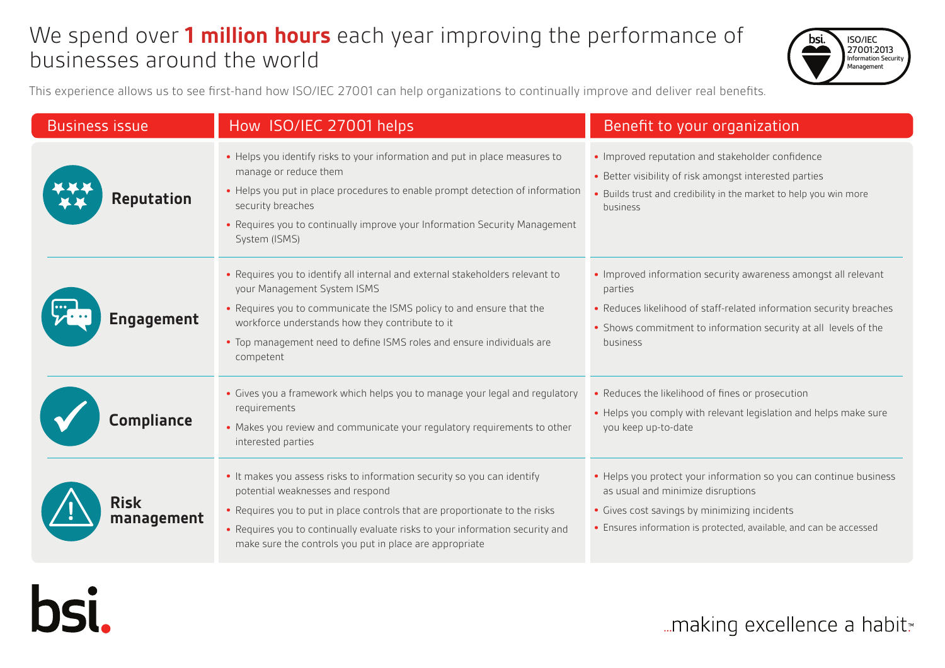# We spend over **1 million hours** each year improving the performance of businesses around the world



This experience allows us to see first-hand how ISO/IEC 27001 can help organizations to continually improve and deliver real benefits.

| <b>Business issue</b>     | How ISO/IEC 27001 helps                                                                                                                                                                                                                                                                                                                | Benefit to your organization                                                                                                                                                                                                    |
|---------------------------|----------------------------------------------------------------------------------------------------------------------------------------------------------------------------------------------------------------------------------------------------------------------------------------------------------------------------------------|---------------------------------------------------------------------------------------------------------------------------------------------------------------------------------------------------------------------------------|
| <b>Reputation</b>         | • Helps you identify risks to your information and put in place measures to<br>manage or reduce them<br>• Helps you put in place procedures to enable prompt detection of information<br>security breaches<br>• Requires you to continually improve your Information Security Management<br>System (ISMS)                              | • Improved reputation and stakeholder confidence<br>• Better visibility of risk amongst interested parties<br>Builds trust and credibility in the market to help you win more<br>business                                       |
| <b>Engagement</b>         | • Requires you to identify all internal and external stakeholders relevant to<br>your Management System ISMS<br>• Requires you to communicate the ISMS policy to and ensure that the<br>workforce understands how they contribute to it<br>• Top management need to define ISMS roles and ensure individuals are<br>competent          | • Improved information security awareness amongst all relevant<br>parties<br>• Reduces likelihood of staff-related information security breaches<br>• Shows commitment to information security at all levels of the<br>business |
| Compliance                | • Gives you a framework which helps you to manage your legal and regulatory<br>requirements<br>• Makes you review and communicate your regulatory requirements to other<br>interested parties                                                                                                                                          | • Reduces the likelihood of fines or prosecution<br>• Helps you comply with relevant legislation and helps make sure<br>you keep up-to-date                                                                                     |
| <b>Risk</b><br>management | • It makes you assess risks to information security so you can identify<br>potential weaknesses and respond<br>• Requires you to put in place controls that are proportionate to the risks<br>• Requires you to continually evaluate risks to your information security and<br>make sure the controls you put in place are appropriate | • Helps you protect your information so you can continue business<br>as usual and minimize disruptions<br>• Gives cost savings by minimizing incidents<br>• Ensures information is protected, available, and can be accessed    |



... making excellence a habit.<sup>™</sup>